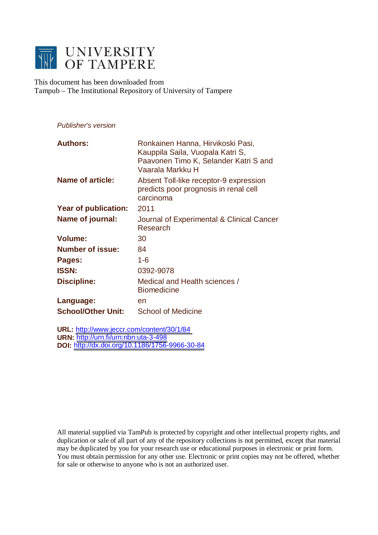

This document has been downloaded from Tampub – The Institutional Repository of University of Tampere

# *Publisher's version*

| <b>Authors:</b>           | Ronkainen Hanna, Hirvikoski Pasi,<br>Kauppila Saila, Vuopala Katri S,<br>Paavonen Timo K, Selander Katri S and<br>Vaarala Markku H |
|---------------------------|------------------------------------------------------------------------------------------------------------------------------------|
| <b>Name of article:</b>   | Absent Toll-like receptor-9 expression<br>predicts poor prognosis in renal cell<br>carcinoma                                       |
| Year of publication:      | 2011                                                                                                                               |
| Name of journal:          | Journal of Experimental & Clinical Cancer<br>Research                                                                              |
| <b>Volume:</b>            | 30                                                                                                                                 |
| <b>Number of issue:</b>   | 84                                                                                                                                 |
| Pages:                    | $1 - 6$                                                                                                                            |
| <b>ISSN:</b>              | 0392-9078                                                                                                                          |
| <b>Discipline:</b>        | Medical and Health sciences /<br><b>Biomedicine</b>                                                                                |
| Language:                 | en                                                                                                                                 |
| <b>School/Other Unit:</b> | School of Medicine                                                                                                                 |

**URL:** <http://www.jeccr.com/content/30/1/84> **URN:** <http://urn.fi/urn:nbn:uta-3-498> **DOI:** <http://dx.doi.org/10.1186/1756-9966-30-84>

All material supplied via TamPub is protected by copyright and other intellectual property rights, and duplication or sale of all part of any of the repository collections is not permitted, except that material may be duplicated by you for your research use or educational purposes in electronic or print form. You must obtain permission for any other use. Electronic or print copies may not be offered, whether for sale or otherwise to anyone who is not an authorized user.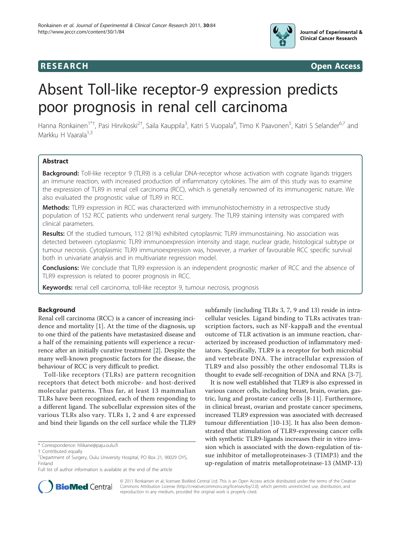

**RESEARCH CONSTRUCTION CONSTRUCTS** 

# Absent Toll-like receptor-9 expression predicts poor prognosis in renal cell carcinoma

Hanna Ronkainen<sup>1\*†</sup>, Pasi Hirvikoski<sup>2†</sup>, Saila Kauppila<sup>3</sup>, Katri S Vuopala<sup>4</sup>, Timo K Paavonen<sup>5</sup>, Katri S Selander<sup>6,7</sup> and Markku H Vaarala $1,3$ 

# Abstract

Background: Toll-like receptor 9 (TLR9) is a cellular DNA-receptor whose activation with cognate ligands triggers an immune reaction, with increased production of inflammatory cytokines. The aim of this study was to examine the expression of TLR9 in renal cell carcinoma (RCC), which is generally renowned of its immunogenic nature. We also evaluated the prognostic value of TLR9 in RCC.

Methods: TLR9 expression in RCC was characterized with immunohistochemistry in a retrospective study population of 152 RCC patients who underwent renal surgery. The TLR9 staining intensity was compared with clinical parameters.

Results: Of the studied tumours, 112 (81%) exhibited cytoplasmic TLR9 immunostaining. No association was detected between cytoplasmic TLR9 immunoexpression intensity and stage, nuclear grade, histological subtype or tumour necrosis. Cytoplasmic TLR9 immunoexpression was, however, a marker of favourable RCC specific survival both in univariate analysis and in multivariate regression model.

**Conclusions:** We conclude that TLR9 expression is an independent prognostic marker of RCC and the absence of TLR9 expression is related to poorer prognosis in RCC.

Keywords: renal cell carcinoma, toll-like receptor 9, tumour necrosis, prognosis

# Background

Renal cell carcinoma (RCC) is a cancer of increasing incidence and mortality [[1\]](#page-5-0). At the time of the diagnosis, up to one third of the patients have metastasized disease and a half of the remaining patients will experience a recurrence after an initially curative treatment [[2\]](#page-5-0). Despite the many well-known prognostic factors for the disease, the behaviour of RCC is very difficult to predict.

Toll-like receptors (TLRs) are pattern recognition receptors that detect both microbe- and host-derived molecular patterns. Thus far, at least 13 mammalian TLRs have been recognized, each of them responding to a different ligand. The subcellular expression sites of the various TLRs also vary. TLRs 1, 2 and 4 are expressed and bind their ligands on the cell surface while the TLR9

subfamily (including TLRs 3, 7, 9 and 13) reside in intracellular vesicles. Ligand binding to TLRs activates transcription factors, such as NF-kappaB and the eventual outcome of TLR activation is an immune reaction, characterized by increased production of inflammatory mediators. Specifically, TLR9 is a receptor for both microbial and vertebrate DNA. The intracellular expression of TLR9 and also possibly the other endosomal TLRs is thought to evade self-recognition of DNA and RNA [[3-7](#page-5-0)].

It is now well established that TLR9 is also expressed in various cancer cells, including breast, brain, ovarian, gastric, lung and prostate cancer cells [[8-11\]](#page-5-0). Furthermore, in clinical breast, ovarian and prostate cancer specimens, increased TLR9 expression was associated with decreased tumour differentiation [\[10](#page-5-0)-[13](#page-5-0)]. It has also been demonstrated that stimulation of TLR9-expressing cancer cells with synthetic TLR9-ligands increases their in vitro invasion which is associated with the down-regulation of tissue inhibitor of metalloproteinases-3 (TIMP3) and the up-regulation of matrix metalloproteinase-13 (MMP-13)



© 2011 Ronkainen et al; licensee BioMed Central Ltd. This is an Open Access article distributed under the terms of the Creative Commons Attribution License [\(http://creativecommons.org/licenses/by/2.0](http://creativecommons.org/licenses/by/2.0)), which permits unrestricted use, distribution, and reproduction in any medium, provided the original work is properly cited.

<sup>\*</sup> Correspondence: [hliikane@paju.oulu.fi](mailto:hliikane@paju.oulu.fi)

<sup>†</sup> Contributed equally <sup>1</sup>

<sup>&</sup>lt;sup>1</sup>Department of Surgery, Oulu University Hospital, PO Box 21, 90029 OYS, Finland

Full list of author information is available at the end of the article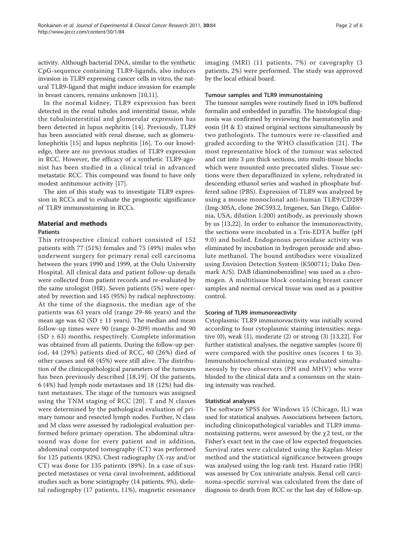activity. Although bacterial DNA, similar to the synthetic CpG-sequence containing TLR9-ligands, also induces invasion in TLR9 expressing cancer cells in vitro, the natural TLR9-ligand that might induce invasion for example in breast cancers, remains unknown [[10](#page-5-0),[11](#page-5-0)].

In the normal kidney, TLR9 expression has been detected in the renal tubules and interstitial tissue, while the tubulointerstitial and glomerular expression has been detected in lupus nephritis [[14\]](#page-5-0). Previously, TLR9 has been associated with renal disease, such as glomerulonephritis [\[15](#page-5-0)] and lupus nephritis [[16\]](#page-5-0). To our knowledge, there are no previous studies of TLR9 expression in RCC. However, the efficacy of a synthetic TLR9-agonist has been studied in a clinical trial in advanced metastatic RCC. This compound was found to have only modest antitumour activity [\[17](#page-5-0)].

The aim of this study was to investigate TLR9 expression in RCCs and to evaluate the prognostic significance of TLR9 immunostaining in RCCs.

# Material and methods

#### Patients

This retrospective clinical cohort consisted of 152 patients with 77 (51%) females and 75 (49%) males who underwent surgery for primary renal cell carcinoma between the years 1990 and 1999, at the Oulu University Hospital. All clinical data and patient follow-up details were collected from patient records and re-evaluated by the same urologist (HR). Seven patients (5%) were operated by resection and 145 (95%) by radical nephrectomy. At the time of the diagnosis, the median age of the patients was 63 years old (range 29-86 years) and the mean age was  $62$  (SD  $\pm$  11 years). The median and mean follow-up times were 90 (range 0-209) months and 90  $(SD \pm 63)$  months, respectively. Complete information was obtained from all patients. During the follow-up period, 44 (29%) patients died of RCC, 40 (26%) died of other causes and 68 (45%) were still alive. The distribution of the clinicopathological parameters of the tumours has been previously described [[18,19\]](#page-5-0). Of the patients, 6 (4%) had lymph node metastases and 18 (12%) had distant metastases. The stage of the tumours was assigned using the TNM staging of RCC [[20\]](#page-5-0). T and N classes were determined by the pathological evaluation of primary tumour and resected lymph nodes. Further, N class and M class were assessed by radiological evaluation performed before primary operation. The abdominal ultrasound was done for every patient and in addition, abdominal computed tomography (CT) was performed for 125 patients (82%). Chest radiography (X-ray and/or CT) was done for 135 patients (89%). In a case of suspected metastases or vena caval involvement, additional studies such as bone scintigraphy (14 patients, 9%), skeletal radiography (17 patients, 11%), magnetic resonance

imaging (MRI) (11 patients, 7%) or cavography (3 patients, 2%) were performed. The study was approved by the local ethical board.

#### Tumour samples and TLR9 immunostaining

The tumour samples were routinely fixed in 10% buffered formalin and embedded in paraffin. The histological diagnosis was confirmed by reviewing the haematoxylin and eosin (H & E) stained original sections simultaneously by two pathologists. The tumours were re-classified and graded according to the WHO classification [\[21\]](#page-5-0). The most representative block of the tumour was selected and cut into  $3 \mu m$  thick sections, into multi-tissue blocks which were mounted onto precoated slides. Tissue sections were then deparaffinized in xylene, rehydrated in descending ethanol series and washed in phosphate buffered saline (PBS). Expression of TLR9 was analyzed by using a mouse monoclonal anti-human TLR9/CD289 (Img-305A, clone 26C593.2, Imgenex, San Diego, California, USA, dilution 1:200) antibody, as previously shown by us [\[13](#page-5-0),[22\]](#page-5-0). In order to enhance the immunoreactivity, the sections were incubated in a Tris-EDTA buffer (pH 9.0) and boiled. Endogenous peroxidase activity was eliminated by incubation in hydrogen peroxide and absolute methanol. The bound antibodies were visualized using Envision Detection System (K500711; Dako Denmark A/S). DAB (diaminobenzidine) was used as a chromogen. A multitissue block containing breast cancer samples and normal cervical tissue was used as a positive control.

#### Scoring of TLR9 immunoreactivity

Cytoplasmic TLR9 immunoreactivity was initially scored according to four cytoplasmic staining intensities: negative (0), weak (1), moderate (2) or strong (3) [[13,22](#page-5-0)]. For further statistical analyses, the negative samples (score 0) were compared with the positive ones (scores 1 to 3). Immunohistochemical staining was evaluated simultaneously by two observers (PH and MHV) who were blinded to the clinical data and a consensus on the staining intensity was reached.

#### Statistical analyses

The software SPSS for Windows 15 (Chicago, IL) was used for statistical analyses. Associations between factors, including clinicopathological variables and TLR9 immunostaining patterns, were assessed by the  $\chi$ 2 test, or the Fisher's exact test in the case of low expected frequencies. Survival rates were calculated using the Kaplan-Meier method and the statistical significance between groups was analysed using the log-rank test. Hazard ratio (HR) was assessed by Cox univariate analysis. Renal cell carcinoma-specific survival was calculated from the date of diagnosis to death from RCC or the last day of follow-up.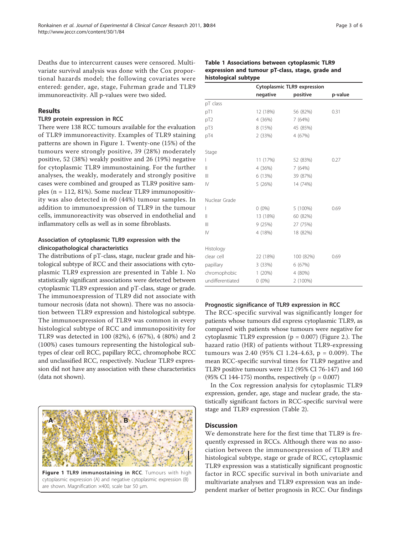Page 3 of 6

Deaths due to intercurrent causes were censored. Multivariate survival analysis was done with the Cox proportional hazards model; the following covariates were entered: gender, age, stage, Fuhrman grade and TLR9 immunoreactivity. All p-values were two sided.

# Results

#### TLR9 protein expression in RCC

There were 138 RCC tumours available for the evaluation of TLR9 immunoreactivity. Examples of TLR9 staining patterns are shown in Figure 1. Twenty-one (15%) of the tumours were strongly positive, 39 (28%) moderately positive, 52 (38%) weakly positive and 26 (19%) negative for cytoplasmic TLR9 immunostaining. For the further analyses, the weakly, moderately and strongly positive cases were combined and grouped as TLR9 positive samples (n = 112, 81%). Some nuclear TLR9 immunopositivity was also detected in 60 (44%) tumour samples. In addition to immunoexpression of TLR9 in the tumour cells, immunoreactivity was observed in endothelial and inflammatory cells as well as in some fibroblasts.

# Association of cytoplasmic TLR9 expression with the clinicopathological characteristics

The distributions of pT-class, stage, nuclear grade and histological subtype of RCC and their associations with cytoplasmic TLR9 expression are presented in Table 1. No statistically significant associations were detected between cytoplasmic TLR9 expression and pT-class, stage or grade. The immunoexpression of TLR9 did not associate with tumour necrosis (data not shown). There was no association between TLR9 expression and histological subtype. The immunoexpression of TLR9 was common in every histological subtype of RCC and immunopositivity for TLR9 was detected in 100 (82%), 6 (67%), 4 (80%) and 2 (100%) cases tumours representing the histological subtypes of clear cell RCC, papillary RCC, chromophobe RCC and unclassified RCC, respectively. Nuclear TLR9 expression did not have any association with these characteristics (data not shown).



are shown. Magnification ×400, scale bar 50 μm.

|                  | Cytoplasmic TLR9 expression |            |         |  |
|------------------|-----------------------------|------------|---------|--|
|                  | negative                    | positive   | p-value |  |
| pT class         |                             |            |         |  |
| pT1              | 12 (18%)                    | 56 (82%)   | 0.31    |  |
| pT2              | 4 (36%)                     | 7(64%)     |         |  |
| pT3              | 8 (15%)                     | 45 (85%)   |         |  |
| pT4              | 2(33%)                      | 4 (67%)    |         |  |
| Stage            |                             |            |         |  |
| L                | 11 (17%)                    | 52 (83%)   | 0.27    |  |
| Ш                | 4 (36%)                     | 7(64%)     |         |  |
| Ш                | 6 (13%)                     | 39 (87%)   |         |  |
| IV               | 5(26%)                      | 14 (74%)   |         |  |
| Nuclear Grade    |                             |            |         |  |
| L                | $0(0\%)$                    | $5(100\%)$ | 0.69    |  |
| $\mathbf{I}$     | 13 (18%)                    | 60 (82%)   |         |  |
| Ш                | 9 (25%)                     | 27 (75%)   |         |  |
| IV               | 4 (18%)                     | 18 (82%)   |         |  |
| Histology        |                             |            |         |  |
| clear cell       | 22 (18%)                    | 100 (82%)  | 0.69    |  |
| papillary        | 3(33%)                      | 6(67%)     |         |  |
| chromophobic     | 1(20%)                      | 4 (80%)    |         |  |
| undifferentiated | $0(0\%)$                    | 2 (100%)   |         |  |

# Table 1 Associations between cytoplasmic TLR9 expression and tumour pT-class, stage, grade and histological subtype

#### Prognostic significance of TLR9 expression in RCC

The RCC-specific survival was significantly longer for patients whose tumours did express cytoplasmic TLR9, as compared with patients whose tumours were negative for cytoplasmic TLR9 expression ( $p = 0.007$ ) (Figure [2.](#page-4-0)). The hazard ratio (HR) of patients without TLR9-expressing tumours was 2.40 (95% CI 1.24-4.63, p = 0.009). The mean RCC-specific survival times for TLR9 negative and TLR9 positive tumours were 112 (95% CI 76-147) and 160 (95% CI 144-175) months, respectively ( $p = 0.007$ )

In the Cox regression analysis for cytoplasmic TLR9 expression, gender, age, stage and nuclear grade, the statistically significant factors in RCC-specific survival were stage and TLR9 expression (Table [2\)](#page-4-0).

# **Discussion**

We demonstrate here for the first time that TLR9 is frequently expressed in RCCs. Although there was no association between the immunoexpression of TLR9 and histological subtype, stage or grade of RCC, cytoplasmic TLR9 expression was a statistically significant prognostic factor in RCC specific survival in both univariate and multivariate analyses and TLR9 expression was an independent marker of better prognosis in RCC. Our findings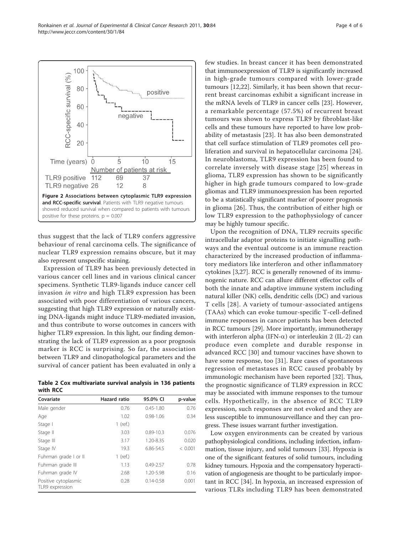<span id="page-4-0"></span>

thus suggest that the lack of TLR9 confers aggressive behaviour of renal carcinoma cells. The significance of nuclear TLR9 expression remains obscure, but it may also represent unspecific staining.

Expression of TLR9 has been previously detected in various cancer cell lines and in various clinical cancer specimens. Synthetic TLR9-ligands induce cancer cell invasion in vitro and high TLR9 expression has been associated with poor differentiation of various cancers, suggesting that high TLR9 expression or naturally existing DNA-ligands might induce TLR9-mediated invasion, and thus contribute to worse outcomes in cancers with higher TLR9 expression. In this light, our finding demonstrating the lack of TLR9 expression as a poor prognosis marker is RCC is surprising. So far, the association between TLR9 and clinopathological parameters and the survival of cancer patient has been evaluated in only a

|          | Table 2 Cox multivariate survival analysis in 136 patients |  |  |  |
|----------|------------------------------------------------------------|--|--|--|
| with RCC |                                                            |  |  |  |

| Covariate                               | Hazard ratio | 95.0% CI      | p-value |
|-----------------------------------------|--------------|---------------|---------|
| Male gender                             | 0.76         | $0.45 - 1.80$ | 0.76    |
| Age                                     | 1.02         | $0.98 - 1.06$ | 0.34    |
| Stage I                                 | $1$ (ref.)   |               |         |
| Stage II                                | 3.03         | $0.89 - 10.3$ | 0.076   |
| Stage III                               | 3.17         | 1.20-8.35     | 0.020   |
| Stage IV                                | 19.3         | 6.86-54.5     | < 0.001 |
| Fuhrman grade I or II                   | $1$ (ref.)   |               |         |
| Fuhrman grade III                       | 1.13         | $0.49 - 2.57$ | 0.78    |
| Fuhrman grade IV                        | 2.68         | 1.20-5.98     | 0.16    |
| Positive cytoplasmic<br>TLR9 expression | 0.28         | $0.14 - 0.58$ | 0.001   |

few studies. In breast cancer it has been demonstrated that immunoexpression of TLR9 is significantly increased in high-grade tumours compared with lower-grade tumours [[12,22\]](#page-5-0). Similarly, it has been shown that recurrent breast carcinomas exhibit a significant increase in the mRNA levels of TLR9 in cancer cells [[23\]](#page-5-0). However, a remarkable percentage (57.5%) of recurrent breast tumours was shown to express TLR9 by fibroblast-like cells and these tumours have reported to have low probability of metastasis [[23\]](#page-5-0). It has also been demonstrated that cell surface stimulation of TLR9 promotes cell proliferation and survival in hepatocellular carcinoma [[24](#page-5-0)]. In neuroblastoma, TLR9 expression has been found to correlate inversely with disease stage [[25](#page-6-0)] whereas in glioma, TLR9 expression has shown to be significantly higher in high grade tumours compared to low-grade gliomas and TLR9 immunoexpression has been reported to be a statistically significant marker of poorer prognosis in glioma [[26](#page-6-0)]. Thus, the contribution of either high or low TLR9 expression to the pathophysiology of cancer may be highly tumour specific.

Upon the recognition of DNA, TLR9 recruits specific intracellular adaptor proteins to initiate signalling pathways and the eventual outcome is an immune reaction characterized by the increased production of inflammatory mediators like interferon and other inflammatory cytokines [[3,](#page-5-0)[27\]](#page-6-0). RCC is generally renowned of its immunogenic nature. RCC can allure different effector cells of both the innate and adaptive immune system including natural killer (NK) cells, dendritic cells (DC) and various T cells [[28\]](#page-6-0). A variety of tumour-associated antigens (TAAs) which can evoke tumour-specific T-cell-defined immune responses in cancer patients has been detected in RCC tumours [[29\]](#page-6-0). More importantly, immunotherapy with interferon alpha (IFN- $\alpha$ ) or interleukin 2 (IL-2) can produce even complete and durable response in advanced RCC [\[30](#page-6-0)] and tumour vaccines have shown to have some response, too [\[31](#page-6-0)]. Rare cases of spontaneous regression of metastases in RCC caused probably by immunologic mechanism have been reported [\[32\]](#page-6-0). Thus, the prognostic significance of TLR9 expression in RCC may be associated with immune responses to the tumour cells. Hypothetically, in the absence of RCC TLR9 expression, such responses are not evoked and they are less susceptible to immunosurveillance and they can progress. These issues warrant further investigation.

Low oxygen environments can be created by various pathophysiological conditions, including infection, inflammation, tissue injury, and solid tumours [[33](#page-6-0)]. Hypoxia is one of the significant features of solid tumours, including kidney tumours. Hypoxia and the compensatory hyperactivation of angiogenesis are thought to be particularly important in RCC [[34\]](#page-6-0). In hypoxia, an increased expression of various TLRs including TLR9 has been demonstrated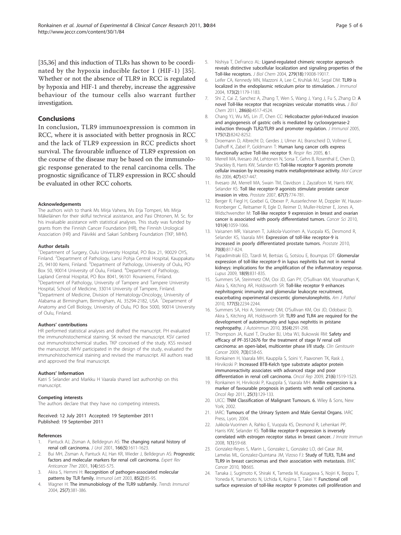<span id="page-5-0"></span>[[35,36\]](#page-6-0) and this induction of TLRs has shown to be coordinated by the hypoxia inducible factor 1 (HIF-1) [\[35\]](#page-6-0). Whether or not the absence of TLR9 in RCC is regulated by hypoxia and HIF-1 and thereby, increase the aggressive behaviour of the tumour cells also warrant further investigation.

# **Conclusions**

In conclusion, TLR9 immunoexpression is common in RCC, where it is associated with better prognosis in RCC and the lack of TLR9 expression in RCC predicts short survival. The favourable influence of TLR9 expression on the course of the disease may be based on the immunologic response generated to the renal carcinoma cells. The prognostic significance of TLR9 expression in RCC should be evaluated in other RCC cohorts.

#### Acknowledgements

The authors wish to thank Ms Mirja Vahera, Ms Erja Tomperi, Ms Mirja Mäkeläinen for their skilful technical assistance, and Pasi Ohtonen, M. Sc. for his invaluable assistance with statistical analyses. This study was funded by grants from the Finnish Cancer Foundation (HR), the Finnish Urological Association (HR) and Päivikki and Sakari Sohlberg Foundation (TKP, MHV).

#### Author details

<sup>1</sup>Department of Surgery, Oulu University Hospital, PO Box 21, 90029 OYS, Finland. <sup>2</sup>Department of Pathology, Lansi Pohja Central Hospital, Kauppakatu 25, 94100 Kemi, Finland. <sup>3</sup>Department of Pathology, University of Oulu, PO Box 50, 90014 University of Oulu, Finland. <sup>4</sup>Department of Pathology, Lapland Central Hospital, PO Box 8041, 96101 Rovaniemi, Finland. 5 Department of Pathology, University of Tampere and Tampere University Hospital, School of Medicine, 33014 University of Tampere, Finland. 6 Department of Medicine, Division of Hematology-Oncology, University of Alabama at Birmingham, Birmingham, AL 35294-2182, USA. <sup>7</sup> Department of Anatomy and Cell Biology, University of Oulu, PO Box 5000, 90014 University of Oulu, Finland.

#### Authors' contributions

HR performed statistical analyses and drafted the manucript. PH evaluated the immunohistochemical staining. SK revised the manuscript. KSV carried out immunohistochemical studies. TKP conceived of the study. KSS revised the manuscript. MHV participated in the design of the study, evaluated the immunohistochemical staining and revised the manuscript. All authors read and approved the final manuscript.

#### Authors' Information

Katri S Selander and Markku H Vaarala shared last authorship on this manuscript.

#### Competing interests

The authors declare that they have no competing interests.

Received: 12 July 2011 Accepted: 19 September 2011 Published: 19 September 2011

#### References

- Pantuck AJ, Zisman A, Belldegrun AS: [The changing natural history of](http://www.ncbi.nlm.nih.gov/pubmed/11586189?dopt=Abstract) [renal cell carcinoma.](http://www.ncbi.nlm.nih.gov/pubmed/11586189?dopt=Abstract) J Urol 2001, 166(5):1611-1623.
- 2. Bui MH, Zisman A, Pantuck AJ, Han KR, Wieder J, Belldegrun AS: [Prognostic](http://www.ncbi.nlm.nih.gov/pubmed/12113089?dopt=Abstract) [factors and molecular markers for renal cell carcinoma.](http://www.ncbi.nlm.nih.gov/pubmed/12113089?dopt=Abstract) Expert Rev Anticancer Ther 2001, 1(4):565-575.
- 3. Akira S, Hemmi H: [Recognition of pathogen-associated molecular](http://www.ncbi.nlm.nih.gov/pubmed/12527213?dopt=Abstract) [patterns by TLR family.](http://www.ncbi.nlm.nih.gov/pubmed/12527213?dopt=Abstract) Immunol Lett 2003, 85(2):85-95.
- 4. Wagner H: [The immunobiology of the TLR9 subfamily.](http://www.ncbi.nlm.nih.gov/pubmed/15207506?dopt=Abstract) Trends Immunol 2004, 25(7):381-386.
- 5. Nishiya T, DeFranco AL: [Ligand-regulated chimeric receptor approach](http://www.ncbi.nlm.nih.gov/pubmed/14976215?dopt=Abstract) [reveals distinctive subcellular localization and signaling properties of the](http://www.ncbi.nlm.nih.gov/pubmed/14976215?dopt=Abstract) [Toll-like receptors.](http://www.ncbi.nlm.nih.gov/pubmed/14976215?dopt=Abstract) J Biol Chem 2004, 279(18):19008-19017.
- 6. Leifer CA, Kennedy MN, Mazzoni A, Lee C, Kruhlak MJ, Segal DM: [TLR9 is](http://www.ncbi.nlm.nih.gov/pubmed/15240708?dopt=Abstract) [localized in the endoplasmic reticulum prior to stimulation.](http://www.ncbi.nlm.nih.gov/pubmed/15240708?dopt=Abstract) J Immunol 2004, 173(2):1179-1183.
- 7. Shi Z, Cai Z, Sanchez A, Zhang T, Wen S, Wang J, Yang J, Fu S, Zhang D: [A](http://www.ncbi.nlm.nih.gov/pubmed/21131352?dopt=Abstract) [novel Toll-like receptor that recognizes vesicular stomatitis virus.](http://www.ncbi.nlm.nih.gov/pubmed/21131352?dopt=Abstract) J Biol Chem 2011, 286(6):4517-4524.
- 8. Chang YJ, Wu MS, Lin JT, Chen CC: [Helicobacter pylori-Induced invasion](http://www.ncbi.nlm.nih.gov/pubmed/16339564?dopt=Abstract) [and angiogenesis of gastric cells is mediated by cyclooxygenase-2](http://www.ncbi.nlm.nih.gov/pubmed/16339564?dopt=Abstract) [induction through TLR2/TLR9 and promoter regulation.](http://www.ncbi.nlm.nih.gov/pubmed/16339564?dopt=Abstract) J Immunol 2005, 175(12):8242-8252.
- Droemann D, Albrecht D, Gerdes J, Ulmer AJ, Branscheid D, Vollmer E, Dalhoff K, Zabel P, Goldmann T: [Human lung cancer cells express](http://www.ncbi.nlm.nih.gov/pubmed/15631627?dopt=Abstract) [functionally active Toll-like receptor 9.](http://www.ncbi.nlm.nih.gov/pubmed/15631627?dopt=Abstract) Respir Res 2005, 6:1.
- 10. Merrell MA, Ilvesaro JM, Lehtonen N, Sorsa T, Gehrs B, Rosenthal E, Chen D, Shackley B, Harris KW, Selander KS: [Toll-like receptor 9 agonists promote](http://www.ncbi.nlm.nih.gov/pubmed/16849519?dopt=Abstract) [cellular invasion by increasing matrix metalloproteinase activity.](http://www.ncbi.nlm.nih.gov/pubmed/16849519?dopt=Abstract) Mol Cancer Res 2006, 4(7):437-447.
- 11. Ilvesaro JM, Merrell MA, Swain TM, Davidson J, Zayzafoon M, Harris KW, Selander KS: [Toll like receptor-9 agonists stimulate prostate cancer](http://www.ncbi.nlm.nih.gov/pubmed/17373717?dopt=Abstract) [invasion in vitro.](http://www.ncbi.nlm.nih.gov/pubmed/17373717?dopt=Abstract) Prostate 2007, 67(7):774-781.
- 12. Berger R, Fiegl H, Goebel G, Obexer P, Ausserlechner M, Doppler W, Hauser-Kronberger C, Reitsamer R, Egle D, Reimer D, Muller-Holzner E, Jones A, Widschwendter M: [Toll-like receptor 9 expression in breast and ovarian](http://www.ncbi.nlm.nih.gov/pubmed/20156214?dopt=Abstract) [cancer is associated with poorly differentiated tumors.](http://www.ncbi.nlm.nih.gov/pubmed/20156214?dopt=Abstract) Cancer Sci 2010, 101(4):1059-1066.
- 13. Vaisanen MR, Vaisanen T, Jukkola-Vuorinen A, Vuopala KS, Desmond R, Selander KS, Vaarala MH: [Expression of toll-like receptor-9 is](http://www.ncbi.nlm.nih.gov/pubmed/20054821?dopt=Abstract) [increased in poorly differentiated prostate tumors.](http://www.ncbi.nlm.nih.gov/pubmed/20054821?dopt=Abstract) Prostate 2010, 70(8):817-824.
- 14. Papadimitraki ED, Tzardi M, Bertsias G, Sotsiou E, Boumpas DT: [Glomerular](http://www.ncbi.nlm.nih.gov/pubmed/19578108?dopt=Abstract) expression of [toll-like receptor-9 in lupus nephritis but not in normal](http://www.ncbi.nlm.nih.gov/pubmed/19578108?dopt=Abstract) [kidneys: implications for the amplification of the inflammatory response.](http://www.ncbi.nlm.nih.gov/pubmed/19578108?dopt=Abstract) Lupus 2009, 18(9):831-835.
- 15. Summers SA, Steinmetz OM, Ooi JD, Gan PY, O'Sullivan KM, Visvanathan K, Akira S, Kitching AR, Holdsworth SR: [Toll-like receptor 9 enhances](http://www.ncbi.nlm.nih.gov/pubmed/20847283?dopt=Abstract) [nephritogenic immunity and glomerular leukocyte recruitment,](http://www.ncbi.nlm.nih.gov/pubmed/20847283?dopt=Abstract) [exacerbating experimental crescentic glomerulonephritis.](http://www.ncbi.nlm.nih.gov/pubmed/20847283?dopt=Abstract) Am J Pathol 2010, 177(5):2234-2244.
- 16. Summers SA, Hoi A, Steinmetz OM, O'Sullivan KM, Ooi JD, Odobasic D, Akira S, Kitching AR, Holdsworth SR: [TLR9 and TLR4 are required for the](http://www.ncbi.nlm.nih.gov/pubmed/20810248?dopt=Abstract) [development of autoimmunity and lupus nephritis in pristane](http://www.ncbi.nlm.nih.gov/pubmed/20810248?dopt=Abstract) [nephropathy.](http://www.ncbi.nlm.nih.gov/pubmed/20810248?dopt=Abstract) J Autoimmun 2010, 35(4):291-298.
- 17. Thompson JA, Kuzel T, Drucker BJ, Urba WJ, Bukowski RM: [Safety and](http://www.ncbi.nlm.nih.gov/pubmed/19815483?dopt=Abstract) [efficacy of PF-3512676 for the treatment of stage IV renal cell](http://www.ncbi.nlm.nih.gov/pubmed/19815483?dopt=Abstract) [carcinoma: an open-label, multicenter phase I/II study.](http://www.ncbi.nlm.nih.gov/pubmed/19815483?dopt=Abstract) Clin Genitourin Cancer 2009, 7(3):E58-65.
- 18. Ronkainen H, Vaarala MH, Kauppila S, Soini Y, Paavonen TK, Rask J, Hirvikoski P: [Increased BTB-Kelch type substrate adaptor protein](http://www.ncbi.nlm.nih.gov/pubmed/19424632?dopt=Abstract) [immunoreactivity associates with advanced stage and poor](http://www.ncbi.nlm.nih.gov/pubmed/19424632?dopt=Abstract) [differentiation in renal cell carcinoma.](http://www.ncbi.nlm.nih.gov/pubmed/19424632?dopt=Abstract) Oncol Rep 2009, 21(6):1519-1523.
- 19. Ronkainen H, Hirvikoski P, Kauppila S, Vaarala MH: [Anillin expression is a](http://www.ncbi.nlm.nih.gov/pubmed/21109967?dopt=Abstract) [marker of favourable prognosis in patients with renal cell carcinoma.](http://www.ncbi.nlm.nih.gov/pubmed/21109967?dopt=Abstract) Oncol Rep 2011, 25(1):129-133.
- 20. UICC: TNM Classification of Malignant Tumours. 6. Wiley & Sons, New York; 2002.
- 21. IARC: Tumours of the Urinary System and Male Genital Organs. IARC Press, Lyon; 2004.
- 22. Jukkola-Vuorinen A, Rahko E, Vuopala KS, Desmond R, Lehenkari PP, Harris KW, Selander KS: [Toll-like receptor-9 expression is inversely](http://www.ncbi.nlm.nih.gov/pubmed/20375566?dopt=Abstract) [correlated with estrogen receptor status in breast cancer.](http://www.ncbi.nlm.nih.gov/pubmed/20375566?dopt=Abstract) J Innate Immun 2008, 1(1):59-68.
- 23. Gonzalez-Reyes S, Marin L, Gonzalez L, Gonzalez LO, del Casar JM, Lamelas ML, Gonzalez-Quintana JM, Vizoso FJ: [Study of TLR3, TLR4 and](http://www.ncbi.nlm.nih.gov/pubmed/21129170?dopt=Abstract) [TLR9 in breast carcinomas and their association with metastasis.](http://www.ncbi.nlm.nih.gov/pubmed/21129170?dopt=Abstract) BMC Cancer 2010, 10:665
- 24. Tanaka J, Sugimoto K, Shiraki K, Tameda M, Kusagawa S, Nojiri K, Beppu T, Yoneda K, Yamamoto N, Uchida K, Kojima T, Takei Y: [Functional cell](http://www.ncbi.nlm.nih.gov/pubmed/20811701?dopt=Abstract) [surface expression of toll-like receptor 9 promotes cell proliferation and](http://www.ncbi.nlm.nih.gov/pubmed/20811701?dopt=Abstract)